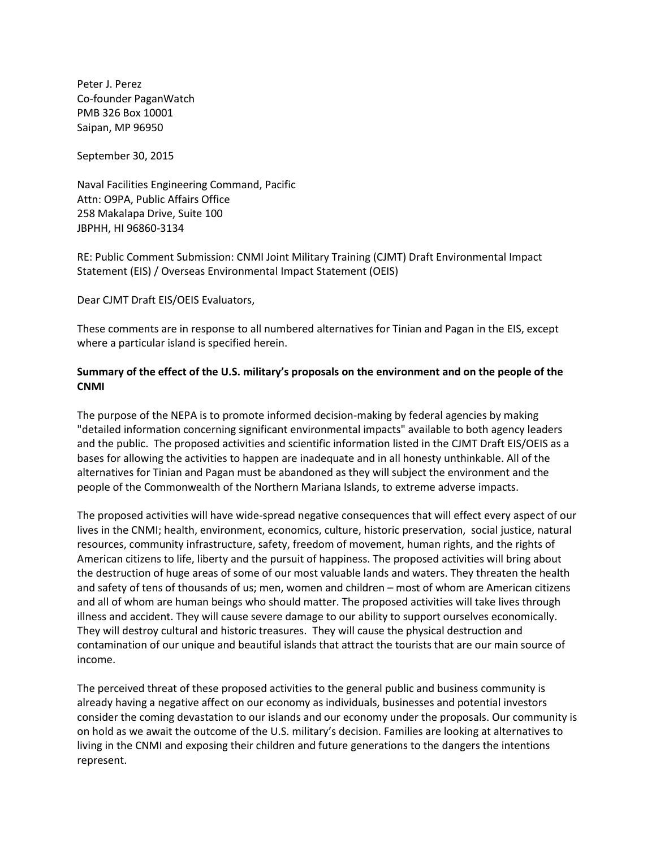Peter J. Perez Co-founder PaganWatch PMB 326 Box 10001 Saipan, MP 96950

September 30, 2015

Naval Facilities Engineering Command, Pacific Attn: O9PA, Public Affairs Office 258 Makalapa Drive, Suite 100 JBPHH, HI 96860-3134

RE: Public Comment Submission: CNMI Joint Military Training (CJMT) Draft Environmental Impact Statement (EIS) / Overseas Environmental Impact Statement (OEIS)

Dear CJMT Draft EIS/OEIS Evaluators,

These comments are in response to all numbered alternatives for Tinian and Pagan in the EIS, except where a particular island is specified herein.

## **Summary of the effect of the U.S. military's proposals on the environment and on the people of the CNMI**

The purpose of the NEPA is to promote informed decision-making by federal agencies by making "detailed information concerning significant environmental impacts" available to both agency leaders and the public. The proposed activities and scientific information listed in the CJMT Draft EIS/OEIS as a bases for allowing the activities to happen are inadequate and in all honesty unthinkable. All of the alternatives for Tinian and Pagan must be abandoned as they will subject the environment and the people of the Commonwealth of the Northern Mariana Islands, to extreme adverse impacts.

The proposed activities will have wide-spread negative consequences that will effect every aspect of our lives in the CNMI; health, environment, economics, culture, historic preservation, social justice, natural resources, community infrastructure, safety, freedom of movement, human rights, and the rights of American citizens to life, liberty and the pursuit of happiness. The proposed activities will bring about the destruction of huge areas of some of our most valuable lands and waters. They threaten the health and safety of tens of thousands of us; men, women and children – most of whom are American citizens and all of whom are human beings who should matter. The proposed activities will take lives through illness and accident. They will cause severe damage to our ability to support ourselves economically. They will destroy cultural and historic treasures. They will cause the physical destruction and contamination of our unique and beautiful islands that attract the tourists that are our main source of income.

The perceived threat of these proposed activities to the general public and business community is already having a negative affect on our economy as individuals, businesses and potential investors consider the coming devastation to our islands and our economy under the proposals. Our community is on hold as we await the outcome of the U.S. military's decision. Families are looking at alternatives to living in the CNMI and exposing their children and future generations to the dangers the intentions represent.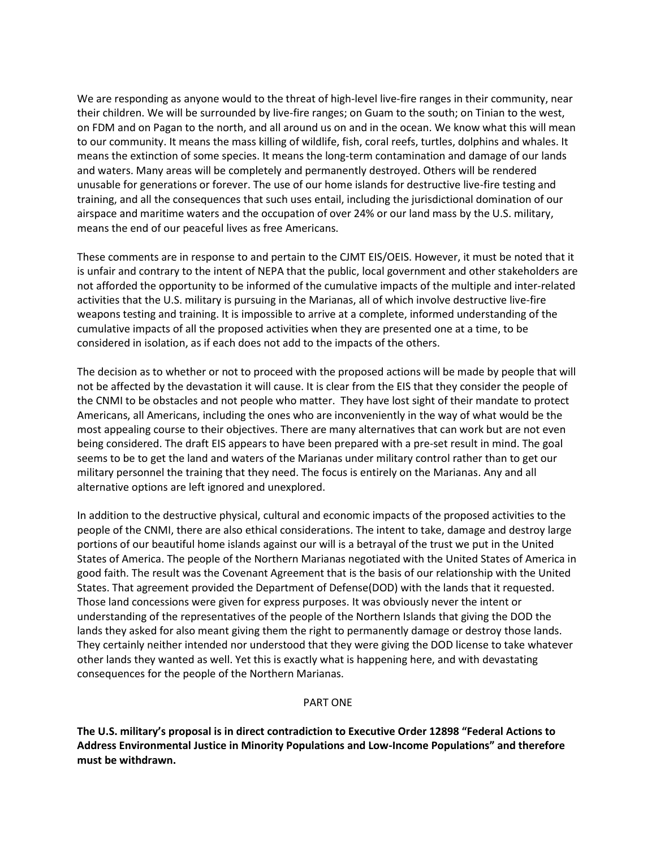We are responding as anyone would to the threat of high-level live-fire ranges in their community, near their children. We will be surrounded by live-fire ranges; on Guam to the south; on Tinian to the west, on FDM and on Pagan to the north, and all around us on and in the ocean. We know what this will mean to our community. It means the mass killing of wildlife, fish, coral reefs, turtles, dolphins and whales. It means the extinction of some species. It means the long-term contamination and damage of our lands and waters. Many areas will be completely and permanently destroyed. Others will be rendered unusable for generations or forever. The use of our home islands for destructive live-fire testing and training, and all the consequences that such uses entail, including the jurisdictional domination of our airspace and maritime waters and the occupation of over 24% or our land mass by the U.S. military, means the end of our peaceful lives as free Americans.

These comments are in response to and pertain to the CJMT EIS/OEIS. However, it must be noted that it is unfair and contrary to the intent of NEPA that the public, local government and other stakeholders are not afforded the opportunity to be informed of the cumulative impacts of the multiple and inter-related activities that the U.S. military is pursuing in the Marianas, all of which involve destructive live-fire weapons testing and training. It is impossible to arrive at a complete, informed understanding of the cumulative impacts of all the proposed activities when they are presented one at a time, to be considered in isolation, as if each does not add to the impacts of the others.

The decision as to whether or not to proceed with the proposed actions will be made by people that will not be affected by the devastation it will cause. It is clear from the EIS that they consider the people of the CNMI to be obstacles and not people who matter. They have lost sight of their mandate to protect Americans, all Americans, including the ones who are inconveniently in the way of what would be the most appealing course to their objectives. There are many alternatives that can work but are not even being considered. The draft EIS appears to have been prepared with a pre-set result in mind. The goal seems to be to get the land and waters of the Marianas under military control rather than to get our military personnel the training that they need. The focus is entirely on the Marianas. Any and all alternative options are left ignored and unexplored.

In addition to the destructive physical, cultural and economic impacts of the proposed activities to the people of the CNMI, there are also ethical considerations. The intent to take, damage and destroy large portions of our beautiful home islands against our will is a betrayal of the trust we put in the United States of America. The people of the Northern Marianas negotiated with the United States of America in good faith. The result was the Covenant Agreement that is the basis of our relationship with the United States. That agreement provided the Department of Defense(DOD) with the lands that it requested. Those land concessions were given for express purposes. It was obviously never the intent or understanding of the representatives of the people of the Northern Islands that giving the DOD the lands they asked for also meant giving them the right to permanently damage or destroy those lands. They certainly neither intended nor understood that they were giving the DOD license to take whatever other lands they wanted as well. Yet this is exactly what is happening here, and with devastating consequences for the people of the Northern Marianas.

### PART ONE

**The U.S. military's proposal is in direct contradiction to Executive Order 12898 "Federal Actions to Address Environmental Justice in Minority Populations and Low-Income Populations" and therefore must be withdrawn.**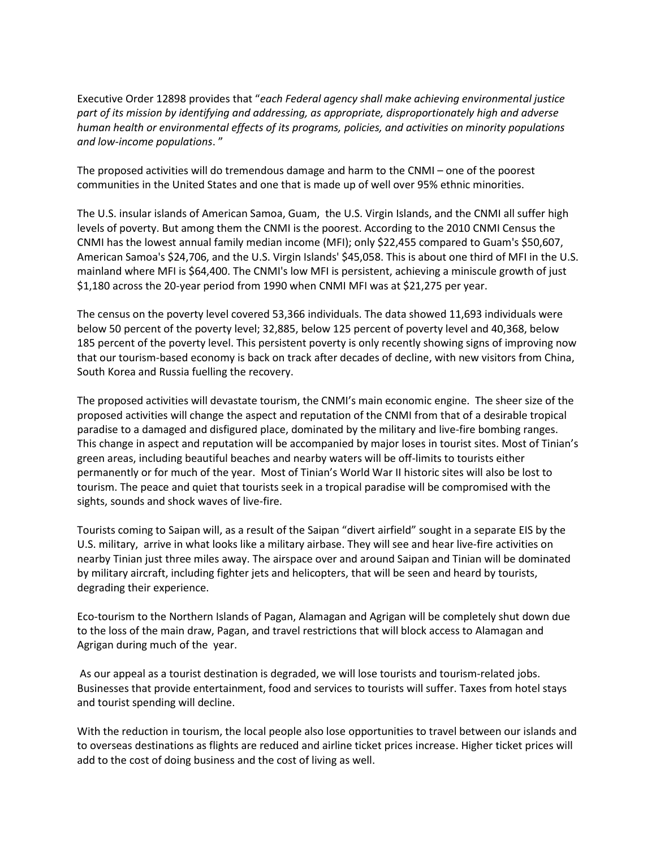Executive Order 12898 provides that "*each Federal agency shall make achieving environmental justice part of its mission by identifying and addressing, as appropriate, disproportionately high and adverse human health or environmental effects of its programs, policies, and activities on minority populations and low-income populations*. "

The proposed activities will do tremendous damage and harm to the CNMI – one of the poorest communities in the United States and one that is made up of well over 95% ethnic minorities.

The U.S. insular islands of American Samoa, Guam, the U.S. Virgin Islands, and the CNMI all suffer high levels of poverty. But among them the CNMI is the poorest. According to the 2010 CNMI Census the CNMI has the lowest annual family median income (MFI); only \$22,455 compared to Guam's \$50,607, American Samoa's \$24,706, and the U.S. Virgin Islands' \$45,058. This is about one third of MFI in the U.S. mainland where MFI is \$64,400. The CNMI's low MFI is persistent, achieving a miniscule growth of just \$1,180 across the 20-year period from 1990 when CNMI MFI was at \$21,275 per year.

The census on the poverty level covered 53,366 individuals. The data showed 11,693 individuals were below 50 percent of the poverty level; 32,885, below 125 percent of poverty level and 40,368, below 185 percent of the poverty level. This persistent poverty is only recently showing signs of improving now that our tourism-based economy is back on track after decades of decline, with new visitors from China, South Korea and Russia fuelling the recovery.

The proposed activities will devastate tourism, the CNMI's main economic engine. The sheer size of the proposed activities will change the aspect and reputation of the CNMI from that of a desirable tropical paradise to a damaged and disfigured place, dominated by the military and live-fire bombing ranges. This change in aspect and reputation will be accompanied by major loses in tourist sites. Most of Tinian's green areas, including beautiful beaches and nearby waters will be off-limits to tourists either permanently or for much of the year. Most of Tinian's World War II historic sites will also be lost to tourism. The peace and quiet that tourists seek in a tropical paradise will be compromised with the sights, sounds and shock waves of live-fire.

Tourists coming to Saipan will, as a result of the Saipan "divert airfield" sought in a separate EIS by the U.S. military, arrive in what looks like a military airbase. They will see and hear live-fire activities on nearby Tinian just three miles away. The airspace over and around Saipan and Tinian will be dominated by military aircraft, including fighter jets and helicopters, that will be seen and heard by tourists, degrading their experience.

Eco-tourism to the Northern Islands of Pagan, Alamagan and Agrigan will be completely shut down due to the loss of the main draw, Pagan, and travel restrictions that will block access to Alamagan and Agrigan during much of the year.

As our appeal as a tourist destination is degraded, we will lose tourists and tourism-related jobs. Businesses that provide entertainment, food and services to tourists will suffer. Taxes from hotel stays and tourist spending will decline.

With the reduction in tourism, the local people also lose opportunities to travel between our islands and to overseas destinations as flights are reduced and airline ticket prices increase. Higher ticket prices will add to the cost of doing business and the cost of living as well.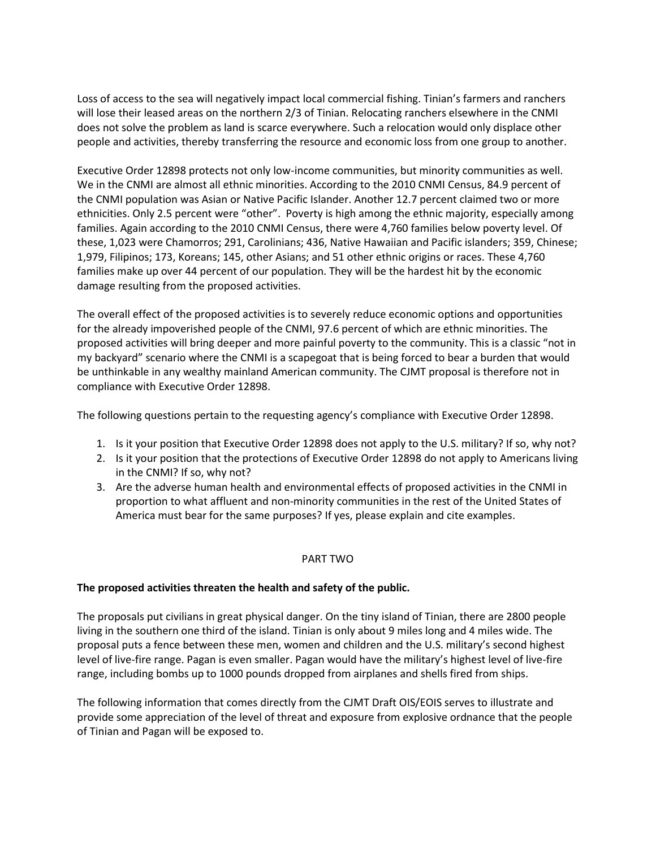Loss of access to the sea will negatively impact local commercial fishing. Tinian's farmers and ranchers will lose their leased areas on the northern 2/3 of Tinian. Relocating ranchers elsewhere in the CNMI does not solve the problem as land is scarce everywhere. Such a relocation would only displace other people and activities, thereby transferring the resource and economic loss from one group to another.

Executive Order 12898 protects not only low-income communities, but minority communities as well. We in the CNMI are almost all ethnic minorities. According to the 2010 CNMI Census, 84.9 percent of the CNMI population was Asian or Native Pacific Islander. Another 12.7 percent claimed two or more ethnicities. Only 2.5 percent were "other". Poverty is high among the ethnic majority, especially among families. Again according to the 2010 CNMI Census, there were 4,760 families below poverty level. Of these, 1,023 were Chamorros; 291, Carolinians; 436, Native Hawaiian and Pacific islanders; 359, Chinese; 1,979, Filipinos; 173, Koreans; 145, other Asians; and 51 other ethnic origins or races. These 4,760 families make up over 44 percent of our population. They will be the hardest hit by the economic damage resulting from the proposed activities.

The overall effect of the proposed activities is to severely reduce economic options and opportunities for the already impoverished people of the CNMI, 97.6 percent of which are ethnic minorities. The proposed activities will bring deeper and more painful poverty to the community. This is a classic "not in my backyard" scenario where the CNMI is a scapegoat that is being forced to bear a burden that would be unthinkable in any wealthy mainland American community. The CJMT proposal is therefore not in compliance with Executive Order 12898.

The following questions pertain to the requesting agency's compliance with Executive Order 12898.

- 1. Is it your position that Executive Order 12898 does not apply to the U.S. military? If so, why not?
- 2. Is it your position that the protections of Executive Order 12898 do not apply to Americans living in the CNMI? If so, why not?
- 3. Are the adverse human health and environmental effects of proposed activities in the CNMI in proportion to what affluent and non-minority communities in the rest of the United States of America must bear for the same purposes? If yes, please explain and cite examples.

# PART TWO

## **The proposed activities threaten the health and safety of the public.**

The proposals put civilians in great physical danger. On the tiny island of Tinian, there are 2800 people living in the southern one third of the island. Tinian is only about 9 miles long and 4 miles wide. The proposal puts a fence between these men, women and children and the U.S. military's second highest level of live-fire range. Pagan is even smaller. Pagan would have the military's highest level of live-fire range, including bombs up to 1000 pounds dropped from airplanes and shells fired from ships.

The following information that comes directly from the CJMT Draft OIS/EOIS serves to illustrate and provide some appreciation of the level of threat and exposure from explosive ordnance that the people of Tinian and Pagan will be exposed to.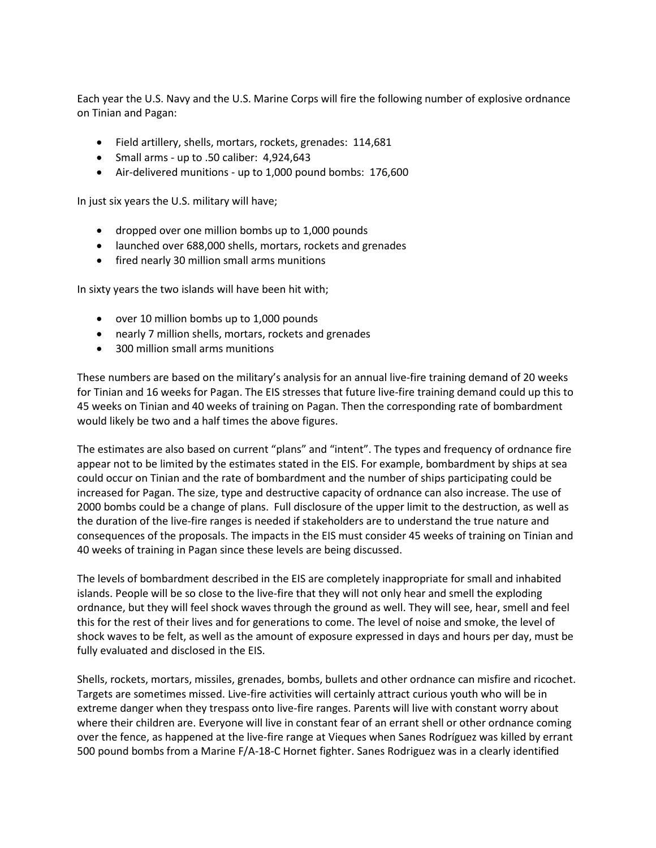Each year the U.S. Navy and the U.S. Marine Corps will fire the following number of explosive ordnance on Tinian and Pagan:

- Field artillery, shells, mortars, rockets, grenades: 114,681
- Small arms up to .50 caliber: 4,924,643
- Air-delivered munitions up to 1,000 pound bombs: 176,600

In just six years the U.S. military will have;

- dropped over one million bombs up to 1,000 pounds
- launched over 688,000 shells, mortars, rockets and grenades
- fired nearly 30 million small arms munitions

In sixty years the two islands will have been hit with;

- over 10 million bombs up to 1,000 pounds
- nearly 7 million shells, mortars, rockets and grenades
- 300 million small arms munitions

These numbers are based on the military's analysis for an annual live-fire training demand of 20 weeks for Tinian and 16 weeks for Pagan. The EIS stresses that future live-fire training demand could up this to 45 weeks on Tinian and 40 weeks of training on Pagan. Then the corresponding rate of bombardment would likely be two and a half times the above figures.

The estimates are also based on current "plans" and "intent". The types and frequency of ordnance fire appear not to be limited by the estimates stated in the EIS. For example, bombardment by ships at sea could occur on Tinian and the rate of bombardment and the number of ships participating could be increased for Pagan. The size, type and destructive capacity of ordnance can also increase. The use of 2000 bombs could be a change of plans. Full disclosure of the upper limit to the destruction, as well as the duration of the live-fire ranges is needed if stakeholders are to understand the true nature and consequences of the proposals. The impacts in the EIS must consider 45 weeks of training on Tinian and 40 weeks of training in Pagan since these levels are being discussed.

The levels of bombardment described in the EIS are completely inappropriate for small and inhabited islands. People will be so close to the live-fire that they will not only hear and smell the exploding ordnance, but they will feel shock waves through the ground as well. They will see, hear, smell and feel this for the rest of their lives and for generations to come. The level of noise and smoke, the level of shock waves to be felt, as well as the amount of exposure expressed in days and hours per day, must be fully evaluated and disclosed in the EIS.

Shells, rockets, mortars, missiles, grenades, bombs, bullets and other ordnance can misfire and ricochet. Targets are sometimes missed. Live-fire activities will certainly attract curious youth who will be in extreme danger when they trespass onto live-fire ranges. Parents will live with constant worry about where their children are. Everyone will live in constant fear of an errant shell or other ordnance coming over the fence, as happened at the live-fire range at Vieques when Sanes Rodríguez was killed by errant 500 pound bombs from a Marine F/A-18-C Hornet fighter. Sanes Rodriguez was in a clearly identified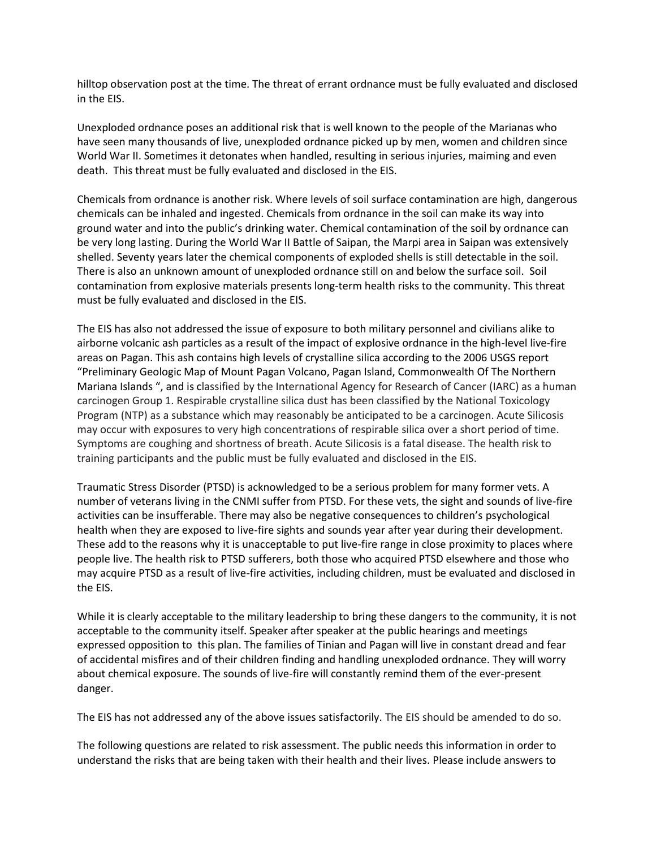hilltop observation post at the time. The threat of errant ordnance must be fully evaluated and disclosed in the EIS.

Unexploded ordnance poses an additional risk that is well known to the people of the Marianas who have seen many thousands of live, unexploded ordnance picked up by men, women and children since World War II. Sometimes it detonates when handled, resulting in serious injuries, maiming and even death. This threat must be fully evaluated and disclosed in the EIS.

Chemicals from ordnance is another risk. Where levels of soil surface contamination are high, dangerous chemicals can be inhaled and ingested. Chemicals from ordnance in the soil can make its way into ground water and into the public's drinking water. Chemical contamination of the soil by ordnance can be very long lasting. During the World War II Battle of Saipan, the Marpi area in Saipan was extensively shelled. Seventy years later the chemical components of exploded shells is still detectable in the soil. There is also an unknown amount of unexploded ordnance still on and below the surface soil. Soil contamination from explosive materials presents long-term health risks to the community. This threat must be fully evaluated and disclosed in the EIS.

The EIS has also not addressed the issue of exposure to both military personnel and civilians alike to airborne volcanic ash particles as a result of the impact of explosive ordnance in the high-level live-fire areas on Pagan. This ash contains high levels of crystalline silica according to the 2006 USGS report "Preliminary Geologic Map of Mount Pagan Volcano, Pagan Island, Commonwealth Of The Northern Mariana Islands ", and is classified by the International Agency for Research of Cancer (IARC) as a human carcinogen Group 1. Respirable crystalline silica dust has been classified by the National Toxicology Program (NTP) as a substance which may reasonably be anticipated to be a carcinogen. Acute Silicosis may occur with exposures to very high concentrations of respirable silica over a short period of time. Symptoms are coughing and shortness of breath. Acute Silicosis is a fatal disease. The health risk to training participants and the public must be fully evaluated and disclosed in the EIS.

Traumatic Stress Disorder (PTSD) is acknowledged to be a serious problem for many former vets. A number of veterans living in the CNMI suffer from PTSD. For these vets, the sight and sounds of live-fire activities can be insufferable. There may also be negative consequences to children's psychological health when they are exposed to live-fire sights and sounds year after year during their development. These add to the reasons why it is unacceptable to put live-fire range in close proximity to places where people live. The health risk to PTSD sufferers, both those who acquired PTSD elsewhere and those who may acquire PTSD as a result of live-fire activities, including children, must be evaluated and disclosed in the EIS.

While it is clearly acceptable to the military leadership to bring these dangers to the community, it is not acceptable to the community itself. Speaker after speaker at the public hearings and meetings expressed opposition to this plan. The families of Tinian and Pagan will live in constant dread and fear of accidental misfires and of their children finding and handling unexploded ordnance. They will worry about chemical exposure. The sounds of live-fire will constantly remind them of the ever-present danger.

The EIS has not addressed any of the above issues satisfactorily. The EIS should be amended to do so.

The following questions are related to risk assessment. The public needs this information in order to understand the risks that are being taken with their health and their lives. Please include answers to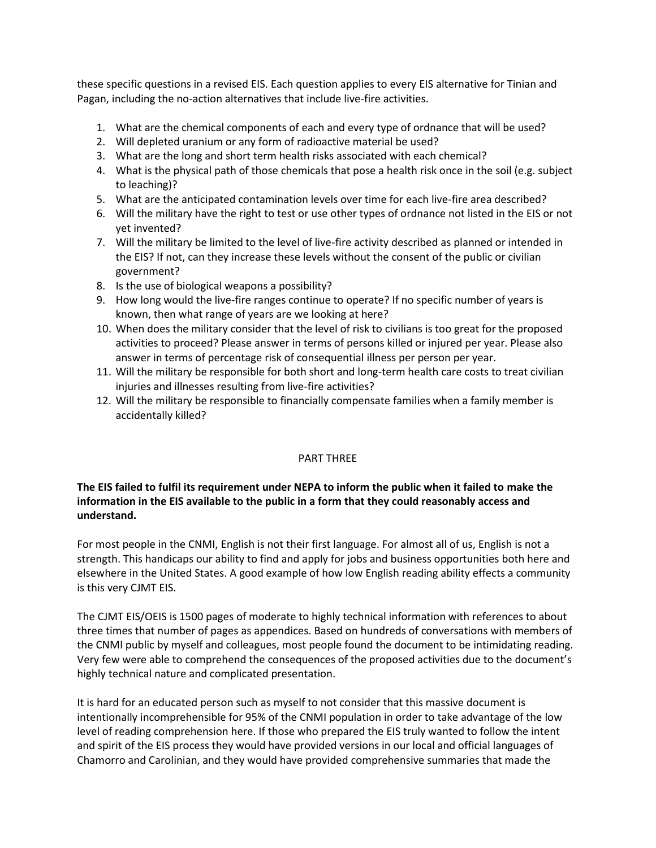these specific questions in a revised EIS. Each question applies to every EIS alternative for Tinian and Pagan, including the no-action alternatives that include live-fire activities.

- 1. What are the chemical components of each and every type of ordnance that will be used?
- 2. Will depleted uranium or any form of radioactive material be used?
- 3. What are the long and short term health risks associated with each chemical?
- 4. What is the physical path of those chemicals that pose a health risk once in the soil (e.g. subject to leaching)?
- 5. What are the anticipated contamination levels over time for each live-fire area described?
- 6. Will the military have the right to test or use other types of ordnance not listed in the EIS or not yet invented?
- 7. Will the military be limited to the level of live-fire activity described as planned or intended in the EIS? If not, can they increase these levels without the consent of the public or civilian government?
- 8. Is the use of biological weapons a possibility?
- 9. How long would the live-fire ranges continue to operate? If no specific number of years is known, then what range of years are we looking at here?
- 10. When does the military consider that the level of risk to civilians is too great for the proposed activities to proceed? Please answer in terms of persons killed or injured per year. Please also answer in terms of percentage risk of consequential illness per person per year.
- 11. Will the military be responsible for both short and long-term health care costs to treat civilian injuries and illnesses resulting from live-fire activities?
- 12. Will the military be responsible to financially compensate families when a family member is accidentally killed?

## PART THREE

# **The EIS failed to fulfil its requirement under NEPA to inform the public when it failed to make the information in the EIS available to the public in a form that they could reasonably access and understand.**

For most people in the CNMI, English is not their first language. For almost all of us, English is not a strength. This handicaps our ability to find and apply for jobs and business opportunities both here and elsewhere in the United States. A good example of how low English reading ability effects a community is this very CJMT EIS.

The CJMT EIS/OEIS is 1500 pages of moderate to highly technical information with references to about three times that number of pages as appendices. Based on hundreds of conversations with members of the CNMI public by myself and colleagues, most people found the document to be intimidating reading. Very few were able to comprehend the consequences of the proposed activities due to the document's highly technical nature and complicated presentation.

It is hard for an educated person such as myself to not consider that this massive document is intentionally incomprehensible for 95% of the CNMI population in order to take advantage of the low level of reading comprehension here. If those who prepared the EIS truly wanted to follow the intent and spirit of the EIS process they would have provided versions in our local and official languages of Chamorro and Carolinian, and they would have provided comprehensive summaries that made the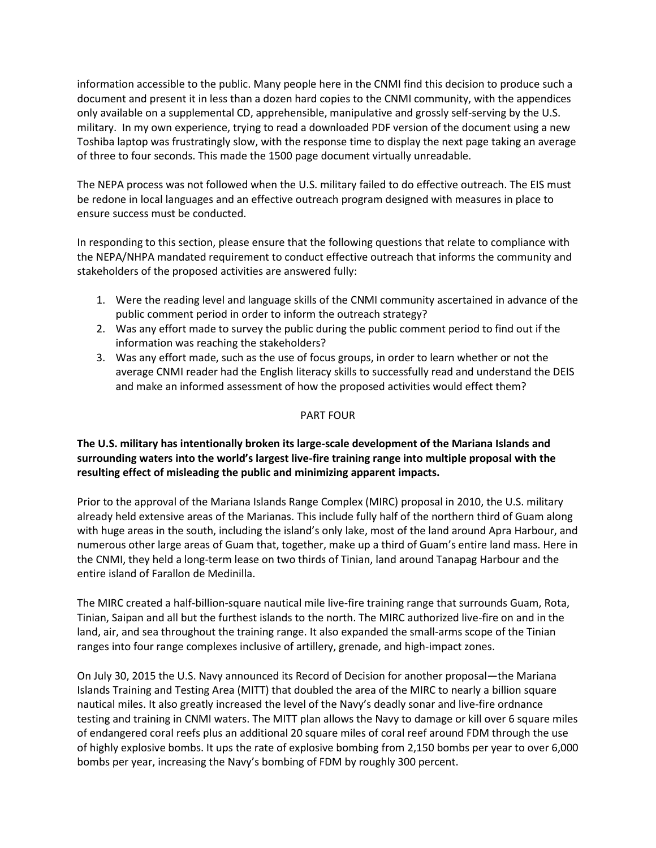information accessible to the public. Many people here in the CNMI find this decision to produce such a document and present it in less than a dozen hard copies to the CNMI community, with the appendices only available on a supplemental CD, apprehensible, manipulative and grossly self-serving by the U.S. military. In my own experience, trying to read a downloaded PDF version of the document using a new Toshiba laptop was frustratingly slow, with the response time to display the next page taking an average of three to four seconds. This made the 1500 page document virtually unreadable.

The NEPA process was not followed when the U.S. military failed to do effective outreach. The EIS must be redone in local languages and an effective outreach program designed with measures in place to ensure success must be conducted.

In responding to this section, please ensure that the following questions that relate to compliance with the NEPA/NHPA mandated requirement to conduct effective outreach that informs the community and stakeholders of the proposed activities are answered fully:

- 1. Were the reading level and language skills of the CNMI community ascertained in advance of the public comment period in order to inform the outreach strategy?
- 2. Was any effort made to survey the public during the public comment period to find out if the information was reaching the stakeholders?
- 3. Was any effort made, such as the use of focus groups, in order to learn whether or not the average CNMI reader had the English literacy skills to successfully read and understand the DEIS and make an informed assessment of how the proposed activities would effect them?

# PART FOUR

# **The U.S. military has intentionally broken its large-scale development of the Mariana Islands and surrounding waters into the world's largest live-fire training range into multiple proposal with the resulting effect of misleading the public and minimizing apparent impacts.**

Prior to the approval of the Mariana Islands Range Complex (MIRC) proposal in 2010, the U.S. military already held extensive areas of the Marianas. This include fully half of the northern third of Guam along with huge areas in the south, including the island's only lake, most of the land around Apra Harbour, and numerous other large areas of Guam that, together, make up a third of Guam's entire land mass. Here in the CNMI, they held a long-term lease on two thirds of Tinian, land around Tanapag Harbour and the entire island of Farallon de Medinilla.

The MIRC created a half-billion-square nautical mile live-fire training range that surrounds Guam, Rota, Tinian, Saipan and all but the furthest islands to the north. The MIRC authorized live-fire on and in the land, air, and sea throughout the training range. It also expanded the small-arms scope of the Tinian ranges into four range complexes inclusive of artillery, grenade, and high-impact zones.

On July 30, 2015 the U.S. Navy announced its Record of Decision for another proposal—the Mariana Islands Training and Testing Area (MITT) that doubled the area of the MIRC to nearly a billion square nautical miles. It also greatly increased the level of the Navy's deadly sonar and live-fire ordnance testing and training in CNMI waters. The MITT plan allows the Navy to damage or kill over 6 square miles of endangered coral reefs plus an additional 20 square miles of coral reef around FDM through the use of highly explosive bombs. It ups the rate of explosive bombing from 2,150 bombs per year to over 6,000 bombs per year, increasing the Navy's bombing of FDM by roughly 300 percent.